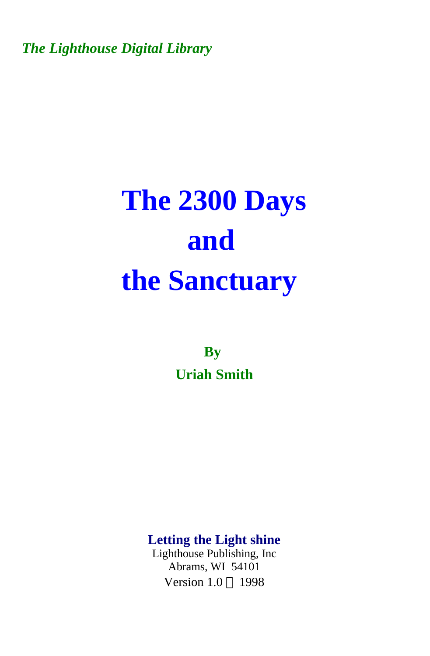*The Lighthouse Digital Library* 

## **The 2300 Days and the Sanctuary**

**By Uriah Smith** 

**Letting the Light shine** 

Lighthouse Publishing, Inc Abrams, WI 54101 Version  $1.0 \odot 1998$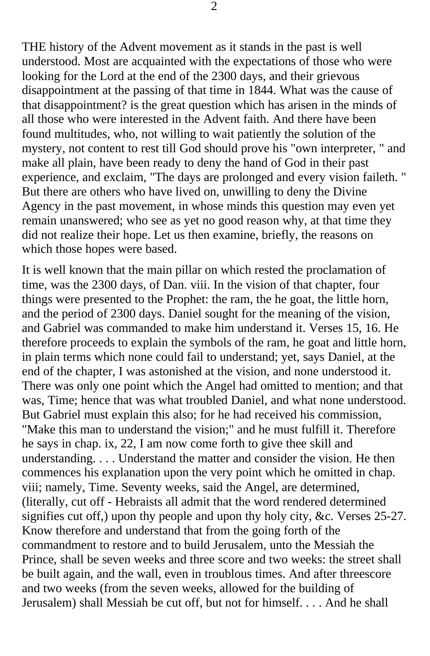THE history of the Advent movement as it stands in the past is well understood. Most are acquainted with the expectations of those who were looking for the Lord at the end of the 2300 days, and their grievous disappointment at the passing of that time in 1844. What was the cause of that disappointment? is the great question which has arisen in the minds of all those who were interested in the Advent faith. And there have been found multitudes, who, not willing to wait patiently the solution of the mystery, not content to rest till God should prove his "own interpreter, " and make all plain, have been ready to deny the hand of God in their past experience, and exclaim, "The days are prolonged and every vision faileth. " But there are others who have lived on, unwilling to deny the Divine Agency in the past movement, in whose minds this question may even yet remain unanswered; who see as yet no good reason why, at that time they did not realize their hope. Let us then examine, briefly, the reasons on which those hopes were based.

It is well known that the main pillar on which rested the proclamation of time, was the 2300 days, of Dan. viii. In the vision of that chapter, four things were presented to the Prophet: the ram, the he goat, the little horn, and the period of 2300 days. Daniel sought for the meaning of the vision, and Gabriel was commanded to make him understand it. Verses 15, 16. He therefore proceeds to explain the symbols of the ram, he goat and little horn, in plain terms which none could fail to understand; yet, says Daniel, at the end of the chapter, I was astonished at the vision, and none understood it. There was only one point which the Angel had omitted to mention; and that was, Time; hence that was what troubled Daniel, and what none understood. But Gabriel must explain this also; for he had received his commission, "Make this man to understand the vision;" and he must fulfill it. Therefore he says in chap. ix, 22, I am now come forth to give thee skill and understanding. . . . Understand the matter and consider the vision. He then commences his explanation upon the very point which he omitted in chap. viii; namely, Time. Seventy weeks, said the Angel, are determined, (literally, cut off - Hebraists all admit that the word rendered determined signifies cut off,) upon thy people and upon thy holy city, &c. Verses 25-27. Know therefore and understand that from the going forth of the commandment to restore and to build Jerusalem, unto the Messiah the Prince, shall be seven weeks and three score and two weeks: the street shall be built again, and the wall, even in troublous times. And after threescore and two weeks (from the seven weeks, allowed for the building of Jerusalem) shall Messiah be cut off, but not for himself. . . . And he shall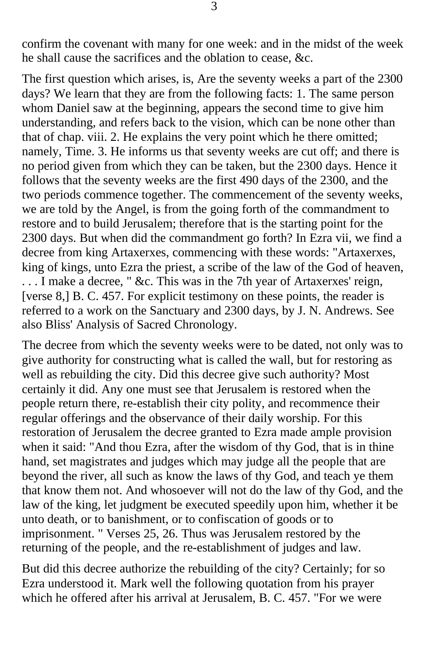confirm the covenant with many for one week: and in the midst of the week he shall cause the sacrifices and the oblation to cease, &c.

The first question which arises, is, Are the seventy weeks a part of the 2300 days? We learn that they are from the following facts: 1. The same person whom Daniel saw at the beginning, appears the second time to give him understanding, and refers back to the vision, which can be none other than that of chap. viii. 2. He explains the very point which he there omitted; namely, Time. 3. He informs us that seventy weeks are cut off; and there is no period given from which they can be taken, but the 2300 days. Hence it follows that the seventy weeks are the first 490 days of the 2300, and the two periods commence together. The commencement of the seventy weeks, we are told by the Angel, is from the going forth of the commandment to restore and to build Jerusalem; therefore that is the starting point for the 2300 days. But when did the commandment go forth? In Ezra vii, we find a decree from king Artaxerxes, commencing with these words: "Artaxerxes, king of kings, unto Ezra the priest, a scribe of the law of the God of heaven, . . . I make a decree, " &c. This was in the 7th year of Artaxerxes' reign, [verse 8,] B. C. 457. For explicit testimony on these points, the reader is referred to a work on the Sanctuary and 2300 days, by J. N. Andrews. See also Bliss' Analysis of Sacred Chronology.

The decree from which the seventy weeks were to be dated, not only was to give authority for constructing what is called the wall, but for restoring as well as rebuilding the city. Did this decree give such authority? Most certainly it did. Any one must see that Jerusalem is restored when the people return there, re-establish their city polity, and recommence their regular offerings and the observance of their daily worship. For this restoration of Jerusalem the decree granted to Ezra made ample provision when it said: "And thou Ezra, after the wisdom of thy God, that is in thine hand, set magistrates and judges which may judge all the people that are beyond the river, all such as know the laws of thy God, and teach ye them that know them not. And whosoever will not do the law of thy God, and the law of the king, let judgment be executed speedily upon him, whether it be unto death, or to banishment, or to confiscation of goods or to imprisonment. " Verses 25, 26. Thus was Jerusalem restored by the returning of the people, and the re-establishment of judges and law.

But did this decree authorize the rebuilding of the city? Certainly; for so Ezra understood it. Mark well the following quotation from his prayer which he offered after his arrival at Jerusalem, B. C. 457. "For we were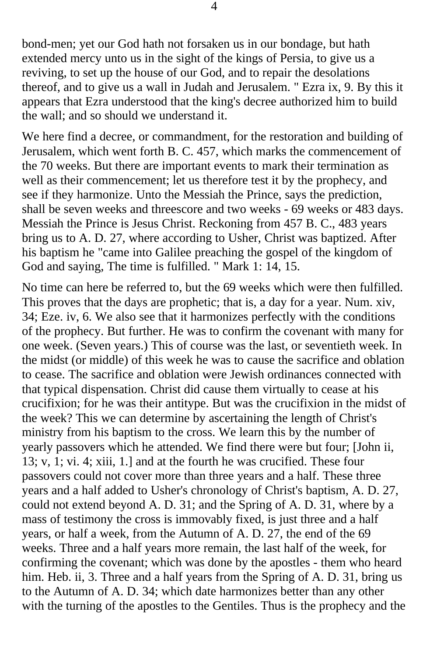bond-men; yet our God hath not forsaken us in our bondage, but hath extended mercy unto us in the sight of the kings of Persia, to give us a reviving, to set up the house of our God, and to repair the desolations thereof, and to give us a wall in Judah and Jerusalem. " Ezra ix, 9. By this it appears that Ezra understood that the king's decree authorized him to build the wall; and so should we understand it.

We here find a decree, or commandment, for the restoration and building of Jerusalem, which went forth B. C. 457, which marks the commencement of the 70 weeks. But there are important events to mark their termination as well as their commencement; let us therefore test it by the prophecy, and see if they harmonize. Unto the Messiah the Prince, says the prediction, shall be seven weeks and threescore and two weeks - 69 weeks or 483 days. Messiah the Prince is Jesus Christ. Reckoning from 457 B. C., 483 years bring us to A. D. 27, where according to Usher, Christ was baptized. After his baptism he "came into Galilee preaching the gospel of the kingdom of God and saying, The time is fulfilled. " Mark 1: 14, 15.

No time can here be referred to, but the 69 weeks which were then fulfilled. This proves that the days are prophetic; that is, a day for a year. Num. xiv, 34; Eze. iv, 6. We also see that it harmonizes perfectly with the conditions of the prophecy. But further. He was to confirm the covenant with many for one week. (Seven years.) This of course was the last, or seventieth week. In the midst (or middle) of this week he was to cause the sacrifice and oblation to cease. The sacrifice and oblation were Jewish ordinances connected with that typical dispensation. Christ did cause them virtually to cease at his crucifixion; for he was their antitype. But was the crucifixion in the midst of the week? This we can determine by ascertaining the length of Christ's ministry from his baptism to the cross. We learn this by the number of yearly passovers which he attended. We find there were but four; [John ii, 13; v, 1; vi. 4; xiii, 1.] and at the fourth he was crucified. These four passovers could not cover more than three years and a half. These three years and a half added to Usher's chronology of Christ's baptism, A. D. 27, could not extend beyond A. D. 31; and the Spring of A. D. 31, where by a mass of testimony the cross is immovably fixed, is just three and a half years, or half a week, from the Autumn of A. D. 27, the end of the 69 weeks. Three and a half years more remain, the last half of the week, for confirming the covenant; which was done by the apostles - them who heard him. Heb. ii, 3. Three and a half years from the Spring of A. D. 31, bring us to the Autumn of A. D. 34; which date harmonizes better than any other with the turning of the apostles to the Gentiles. Thus is the prophecy and the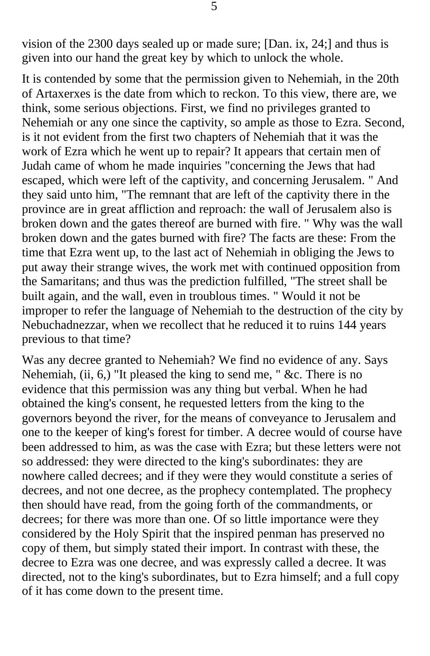vision of the 2300 days sealed up or made sure; [Dan. ix, 24;] and thus is given into our hand the great key by which to unlock the whole.

It is contended by some that the permission given to Nehemiah, in the 20th of Artaxerxes is the date from which to reckon. To this view, there are, we think, some serious objections. First, we find no privileges granted to Nehemiah or any one since the captivity, so ample as those to Ezra. Second, is it not evident from the first two chapters of Nehemiah that it was the work of Ezra which he went up to repair? It appears that certain men of Judah came of whom he made inquiries "concerning the Jews that had escaped, which were left of the captivity, and concerning Jerusalem. " And they said unto him, "The remnant that are left of the captivity there in the province are in great affliction and reproach: the wall of Jerusalem also is broken down and the gates thereof are burned with fire. " Why was the wall broken down and the gates burned with fire? The facts are these: From the time that Ezra went up, to the last act of Nehemiah in obliging the Jews to put away their strange wives, the work met with continued opposition from the Samaritans; and thus was the prediction fulfilled, "The street shall be built again, and the wall, even in troublous times. " Would it not be improper to refer the language of Nehemiah to the destruction of the city by Nebuchadnezzar, when we recollect that he reduced it to ruins 144 years previous to that time?

Was any decree granted to Nehemiah? We find no evidence of any. Says Nehemiah, (ii, 6,) "It pleased the king to send me, "  $&c$ . There is no evidence that this permission was any thing but verbal. When he had obtained the king's consent, he requested letters from the king to the governors beyond the river, for the means of conveyance to Jerusalem and one to the keeper of king's forest for timber. A decree would of course have been addressed to him, as was the case with Ezra; but these letters were not so addressed: they were directed to the king's subordinates: they are nowhere called decrees; and if they were they would constitute a series of decrees, and not one decree, as the prophecy contemplated. The prophecy then should have read, from the going forth of the commandments, or decrees; for there was more than one. Of so little importance were they considered by the Holy Spirit that the inspired penman has preserved no copy of them, but simply stated their import. In contrast with these, the decree to Ezra was one decree, and was expressly called a decree. It was directed, not to the king's subordinates, but to Ezra himself; and a full copy of it has come down to the present time.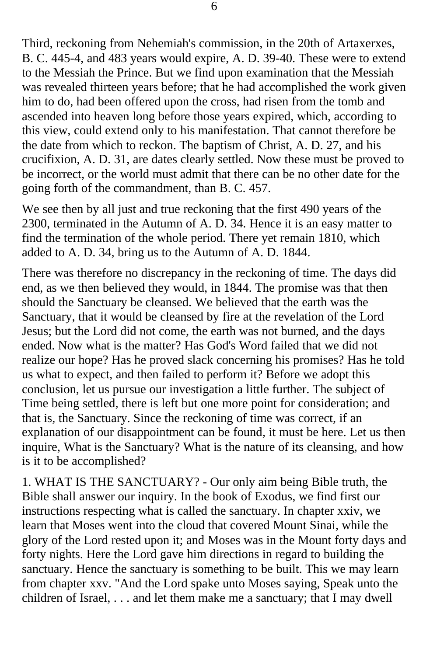Third, reckoning from Nehemiah's commission, in the 20th of Artaxerxes, B. C. 445-4, and 483 years would expire, A. D. 39-40. These were to extend to the Messiah the Prince. But we find upon examination that the Messiah was revealed thirteen years before; that he had accomplished the work given him to do, had been offered upon the cross, had risen from the tomb and ascended into heaven long before those years expired, which, according to this view, could extend only to his manifestation. That cannot therefore be the date from which to reckon. The baptism of Christ, A. D. 27, and his crucifixion, A. D. 31, are dates clearly settled. Now these must be proved to be incorrect, or the world must admit that there can be no other date for the going forth of the commandment, than B. C. 457.

We see then by all just and true reckoning that the first 490 years of the 2300, terminated in the Autumn of A. D. 34. Hence it is an easy matter to find the termination of the whole period. There yet remain 1810, which added to A. D. 34, bring us to the Autumn of A. D. 1844.

There was therefore no discrepancy in the reckoning of time. The days did end, as we then believed they would, in 1844. The promise was that then should the Sanctuary be cleansed. We believed that the earth was the Sanctuary, that it would be cleansed by fire at the revelation of the Lord Jesus; but the Lord did not come, the earth was not burned, and the days ended. Now what is the matter? Has God's Word failed that we did not realize our hope? Has he proved slack concerning his promises? Has he told us what to expect, and then failed to perform it? Before we adopt this conclusion, let us pursue our investigation a little further. The subject of Time being settled, there is left but one more point for consideration; and that is, the Sanctuary. Since the reckoning of time was correct, if an explanation of our disappointment can be found, it must be here. Let us then inquire, What is the Sanctuary? What is the nature of its cleansing, and how is it to be accomplished?

1. WHAT IS THE SANCTUARY? - Our only aim being Bible truth, the Bible shall answer our inquiry. In the book of Exodus, we find first our instructions respecting what is called the sanctuary. In chapter xxiv, we learn that Moses went into the cloud that covered Mount Sinai, while the glory of the Lord rested upon it; and Moses was in the Mount forty days and forty nights. Here the Lord gave him directions in regard to building the sanctuary. Hence the sanctuary is something to be built. This we may learn from chapter xxv. "And the Lord spake unto Moses saying, Speak unto the children of Israel, . . . and let them make me a sanctuary; that I may dwell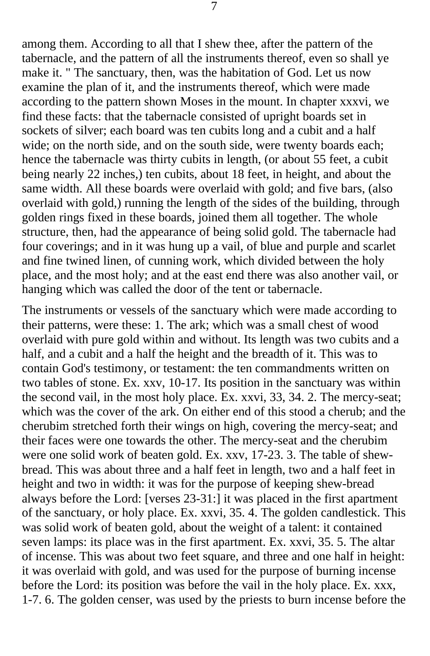among them. According to all that I shew thee, after the pattern of the tabernacle, and the pattern of all the instruments thereof, even so shall ye make it. " The sanctuary, then, was the habitation of God. Let us now examine the plan of it, and the instruments thereof, which were made according to the pattern shown Moses in the mount. In chapter xxxvi, we find these facts: that the tabernacle consisted of upright boards set in sockets of silver; each board was ten cubits long and a cubit and a half wide; on the north side, and on the south side, were twenty boards each; hence the tabernacle was thirty cubits in length, (or about 55 feet, a cubit being nearly 22 inches,) ten cubits, about 18 feet, in height, and about the same width. All these boards were overlaid with gold; and five bars, (also overlaid with gold,) running the length of the sides of the building, through golden rings fixed in these boards, joined them all together. The whole structure, then, had the appearance of being solid gold. The tabernacle had four coverings; and in it was hung up a vail, of blue and purple and scarlet and fine twined linen, of cunning work, which divided between the holy place, and the most holy; and at the east end there was also another vail, or hanging which was called the door of the tent or tabernacle.

The instruments or vessels of the sanctuary which were made according to their patterns, were these: 1. The ark; which was a small chest of wood overlaid with pure gold within and without. Its length was two cubits and a half, and a cubit and a half the height and the breadth of it. This was to contain God's testimony, or testament: the ten commandments written on two tables of stone. Ex. xxv, 10-17. Its position in the sanctuary was within the second vail, in the most holy place. Ex. xxvi, 33, 34. 2. The mercy-seat; which was the cover of the ark. On either end of this stood a cherub; and the cherubim stretched forth their wings on high, covering the mercy-seat; and their faces were one towards the other. The mercy-seat and the cherubim were one solid work of beaten gold. Ex. xxv, 17-23. 3. The table of shewbread. This was about three and a half feet in length, two and a half feet in height and two in width: it was for the purpose of keeping shew-bread always before the Lord: [verses 23-31:] it was placed in the first apartment of the sanctuary, or holy place. Ex. xxvi, 35. 4. The golden candlestick. This was solid work of beaten gold, about the weight of a talent: it contained seven lamps: its place was in the first apartment. Ex. xxvi, 35. 5. The altar of incense. This was about two feet square, and three and one half in height: it was overlaid with gold, and was used for the purpose of burning incense before the Lord: its position was before the vail in the holy place. Ex. xxx, 1-7. 6. The golden censer, was used by the priests to burn incense before the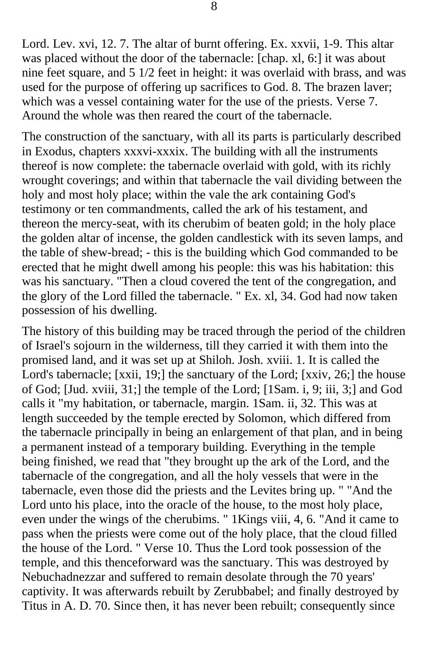Lord. Lev. xvi, 12. 7. The altar of burnt offering. Ex. xxvii, 1-9. This altar was placed without the door of the tabernacle: [chap. xl, 6:] it was about nine feet square, and 5 1/2 feet in height: it was overlaid with brass, and was used for the purpose of offering up sacrifices to God. 8. The brazen laver; which was a vessel containing water for the use of the priests. Verse 7. Around the whole was then reared the court of the tabernacle.

The construction of the sanctuary, with all its parts is particularly described in Exodus, chapters xxxvi-xxxix. The building with all the instruments thereof is now complete: the tabernacle overlaid with gold, with its richly wrought coverings; and within that tabernacle the vail dividing between the holy and most holy place; within the vale the ark containing God's testimony or ten commandments, called the ark of his testament, and thereon the mercy-seat, with its cherubim of beaten gold; in the holy place the golden altar of incense, the golden candlestick with its seven lamps, and the table of shew-bread; - this is the building which God commanded to be erected that he might dwell among his people: this was his habitation: this was his sanctuary. "Then a cloud covered the tent of the congregation, and the glory of the Lord filled the tabernacle. " Ex. xl, 34. God had now taken possession of his dwelling.

The history of this building may be traced through the period of the children of Israel's sojourn in the wilderness, till they carried it with them into the promised land, and it was set up at Shiloh. Josh. xviii. 1. It is called the Lord's tabernacle; [xxii, 19;] the sanctuary of the Lord; [xxiv, 26;] the house of God; [Jud. xviii, 31;] the temple of the Lord; [1Sam. i, 9; iii, 3;] and God calls it "my habitation, or tabernacle, margin. 1Sam. ii, 32. This was at length succeeded by the temple erected by Solomon, which differed from the tabernacle principally in being an enlargement of that plan, and in being a permanent instead of a temporary building. Everything in the temple being finished, we read that "they brought up the ark of the Lord, and the tabernacle of the congregation, and all the holy vessels that were in the tabernacle, even those did the priests and the Levites bring up. " "And the Lord unto his place, into the oracle of the house, to the most holy place, even under the wings of the cherubims. " 1Kings viii, 4, 6. "And it came to pass when the priests were come out of the holy place, that the cloud filled the house of the Lord. " Verse 10. Thus the Lord took possession of the temple, and this thenceforward was the sanctuary. This was destroyed by Nebuchadnezzar and suffered to remain desolate through the 70 years' captivity. It was afterwards rebuilt by Zerubbabel; and finally destroyed by Titus in A. D. 70. Since then, it has never been rebuilt; consequently since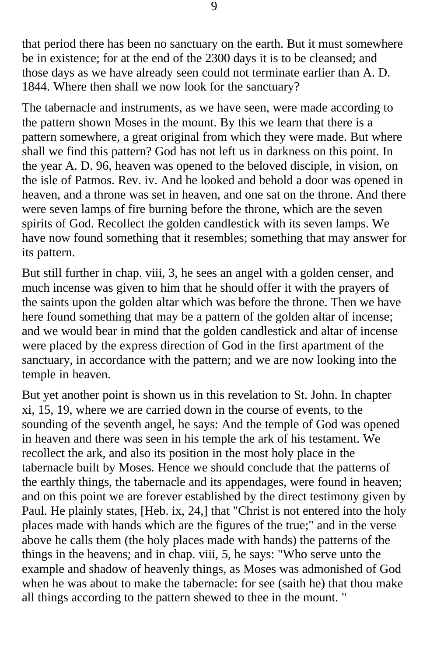that period there has been no sanctuary on the earth. But it must somewhere be in existence; for at the end of the 2300 days it is to be cleansed; and those days as we have already seen could not terminate earlier than A. D. 1844. Where then shall we now look for the sanctuary?

The tabernacle and instruments, as we have seen, were made according to the pattern shown Moses in the mount. By this we learn that there is a pattern somewhere, a great original from which they were made. But where shall we find this pattern? God has not left us in darkness on this point. In the year A. D. 96, heaven was opened to the beloved disciple, in vision, on the isle of Patmos. Rev. iv. And he looked and behold a door was opened in heaven, and a throne was set in heaven, and one sat on the throne. And there were seven lamps of fire burning before the throne, which are the seven spirits of God. Recollect the golden candlestick with its seven lamps. We have now found something that it resembles; something that may answer for its pattern.

But still further in chap. viii, 3, he sees an angel with a golden censer, and much incense was given to him that he should offer it with the prayers of the saints upon the golden altar which was before the throne. Then we have here found something that may be a pattern of the golden altar of incense; and we would bear in mind that the golden candlestick and altar of incense were placed by the express direction of God in the first apartment of the sanctuary, in accordance with the pattern; and we are now looking into the temple in heaven.

But yet another point is shown us in this revelation to St. John. In chapter xi, 15, 19, where we are carried down in the course of events, to the sounding of the seventh angel, he says: And the temple of God was opened in heaven and there was seen in his temple the ark of his testament. We recollect the ark, and also its position in the most holy place in the tabernacle built by Moses. Hence we should conclude that the patterns of the earthly things, the tabernacle and its appendages, were found in heaven; and on this point we are forever established by the direct testimony given by Paul. He plainly states, [Heb. ix, 24,] that "Christ is not entered into the holy places made with hands which are the figures of the true;" and in the verse above he calls them (the holy places made with hands) the patterns of the things in the heavens; and in chap. viii, 5, he says: "Who serve unto the example and shadow of heavenly things, as Moses was admonished of God when he was about to make the tabernacle: for see (saith he) that thou make all things according to the pattern shewed to thee in the mount. "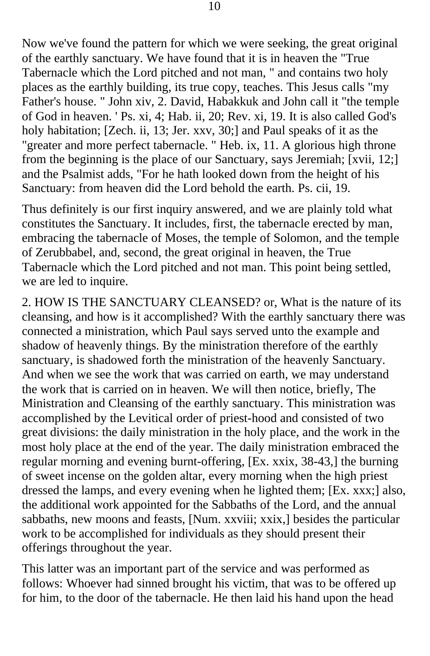Now we've found the pattern for which we were seeking, the great original of the earthly sanctuary. We have found that it is in heaven the "True Tabernacle which the Lord pitched and not man, " and contains two holy places as the earthly building, its true copy, teaches. This Jesus calls "my Father's house. " John xiv, 2. David, Habakkuk and John call it "the temple of God in heaven. ' Ps. xi, 4; Hab. ii, 20; Rev. xi, 19. It is also called God's holy habitation; [Zech. ii, 13; Jer. xxv, 30;] and Paul speaks of it as the "greater and more perfect tabernacle. " Heb. ix, 11. A glorious high throne from the beginning is the place of our Sanctuary, says Jeremiah; [xvii, 12;] and the Psalmist adds, "For he hath looked down from the height of his Sanctuary: from heaven did the Lord behold the earth. Ps. cii, 19.

Thus definitely is our first inquiry answered, and we are plainly told what constitutes the Sanctuary. It includes, first, the tabernacle erected by man, embracing the tabernacle of Moses, the temple of Solomon, and the temple of Zerubbabel, and, second, the great original in heaven, the True Tabernacle which the Lord pitched and not man. This point being settled, we are led to inquire.

2. HOW IS THE SANCTUARY CLEANSED? or, What is the nature of its cleansing, and how is it accomplished? With the earthly sanctuary there was connected a ministration, which Paul says served unto the example and shadow of heavenly things. By the ministration therefore of the earthly sanctuary, is shadowed forth the ministration of the heavenly Sanctuary. And when we see the work that was carried on earth, we may understand the work that is carried on in heaven. We will then notice, briefly, The Ministration and Cleansing of the earthly sanctuary. This ministration was accomplished by the Levitical order of priest-hood and consisted of two great divisions: the daily ministration in the holy place, and the work in the most holy place at the end of the year. The daily ministration embraced the regular morning and evening burnt-offering, [Ex. xxix, 38-43,] the burning of sweet incense on the golden altar, every morning when the high priest dressed the lamps, and every evening when he lighted them; [Ex. xxx;] also, the additional work appointed for the Sabbaths of the Lord, and the annual sabbaths, new moons and feasts, [Num. xxviii; xxix,] besides the particular work to be accomplished for individuals as they should present their offerings throughout the year.

This latter was an important part of the service and was performed as follows: Whoever had sinned brought his victim, that was to be offered up for him, to the door of the tabernacle. He then laid his hand upon the head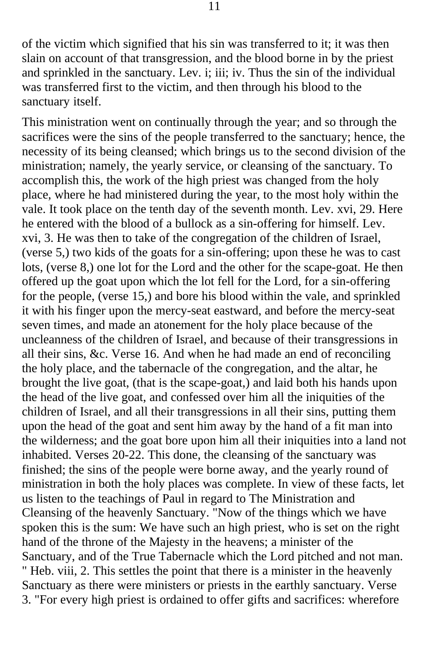of the victim which signified that his sin was transferred to it; it was then slain on account of that transgression, and the blood borne in by the priest and sprinkled in the sanctuary. Lev. i; iii; iv. Thus the sin of the individual was transferred first to the victim, and then through his blood to the sanctuary itself.

This ministration went on continually through the year; and so through the sacrifices were the sins of the people transferred to the sanctuary; hence, the necessity of its being cleansed; which brings us to the second division of the ministration; namely, the yearly service, or cleansing of the sanctuary. To accomplish this, the work of the high priest was changed from the holy place, where he had ministered during the year, to the most holy within the vale. It took place on the tenth day of the seventh month. Lev. xvi, 29. Here he entered with the blood of a bullock as a sin-offering for himself. Lev. xvi, 3. He was then to take of the congregation of the children of Israel, (verse 5,) two kids of the goats for a sin-offering; upon these he was to cast lots, (verse 8,) one lot for the Lord and the other for the scape-goat. He then offered up the goat upon which the lot fell for the Lord, for a sin-offering for the people, (verse 15,) and bore his blood within the vale, and sprinkled it with his finger upon the mercy-seat eastward, and before the mercy-seat seven times, and made an atonement for the holy place because of the uncleanness of the children of Israel, and because of their transgressions in all their sins, &c. Verse 16. And when he had made an end of reconciling the holy place, and the tabernacle of the congregation, and the altar, he brought the live goat, (that is the scape-goat,) and laid both his hands upon the head of the live goat, and confessed over him all the iniquities of the children of Israel, and all their transgressions in all their sins, putting them upon the head of the goat and sent him away by the hand of a fit man into the wilderness; and the goat bore upon him all their iniquities into a land not inhabited. Verses 20-22. This done, the cleansing of the sanctuary was finished; the sins of the people were borne away, and the yearly round of ministration in both the holy places was complete. In view of these facts, let us listen to the teachings of Paul in regard to The Ministration and Cleansing of the heavenly Sanctuary. "Now of the things which we have spoken this is the sum: We have such an high priest, who is set on the right hand of the throne of the Majesty in the heavens; a minister of the Sanctuary, and of the True Tabernacle which the Lord pitched and not man. " Heb. viii, 2. This settles the point that there is a minister in the heavenly Sanctuary as there were ministers or priests in the earthly sanctuary. Verse 3. "For every high priest is ordained to offer gifts and sacrifices: wherefore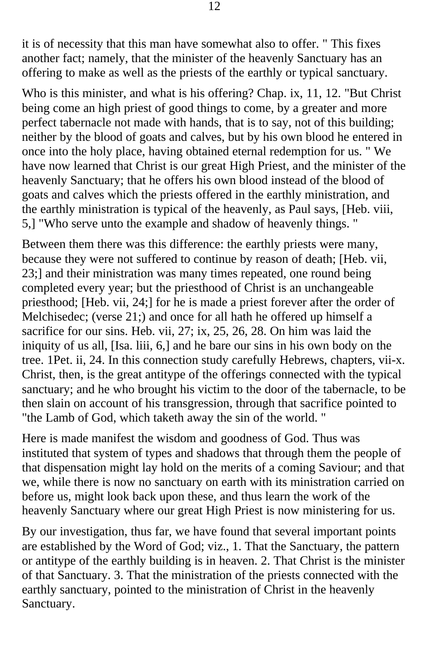it is of necessity that this man have somewhat also to offer. " This fixes another fact; namely, that the minister of the heavenly Sanctuary has an offering to make as well as the priests of the earthly or typical sanctuary.

Who is this minister, and what is his offering? Chap. ix, 11, 12. "But Christ being come an high priest of good things to come, by a greater and more perfect tabernacle not made with hands, that is to say, not of this building; neither by the blood of goats and calves, but by his own blood he entered in once into the holy place, having obtained eternal redemption for us. " We have now learned that Christ is our great High Priest, and the minister of the heavenly Sanctuary; that he offers his own blood instead of the blood of goats and calves which the priests offered in the earthly ministration, and the earthly ministration is typical of the heavenly, as Paul says, [Heb. viii, 5,] "Who serve unto the example and shadow of heavenly things. "

Between them there was this difference: the earthly priests were many, because they were not suffered to continue by reason of death; [Heb. vii, 23;] and their ministration was many times repeated, one round being completed every year; but the priesthood of Christ is an unchangeable priesthood; [Heb. vii, 24;] for he is made a priest forever after the order of Melchisedec; (verse 21;) and once for all hath he offered up himself a sacrifice for our sins. Heb. vii, 27; ix, 25, 26, 28. On him was laid the iniquity of us all, [Isa. liii, 6,] and he bare our sins in his own body on the tree. 1Pet. ii, 24. In this connection study carefully Hebrews, chapters, vii-x. Christ, then, is the great antitype of the offerings connected with the typical sanctuary; and he who brought his victim to the door of the tabernacle, to be then slain on account of his transgression, through that sacrifice pointed to "the Lamb of God, which taketh away the sin of the world. "

Here is made manifest the wisdom and goodness of God. Thus was instituted that system of types and shadows that through them the people of that dispensation might lay hold on the merits of a coming Saviour; and that we, while there is now no sanctuary on earth with its ministration carried on before us, might look back upon these, and thus learn the work of the heavenly Sanctuary where our great High Priest is now ministering for us.

By our investigation, thus far, we have found that several important points are established by the Word of God; viz., 1. That the Sanctuary, the pattern or antitype of the earthly building is in heaven. 2. That Christ is the minister of that Sanctuary. 3. That the ministration of the priests connected with the earthly sanctuary, pointed to the ministration of Christ in the heavenly Sanctuary.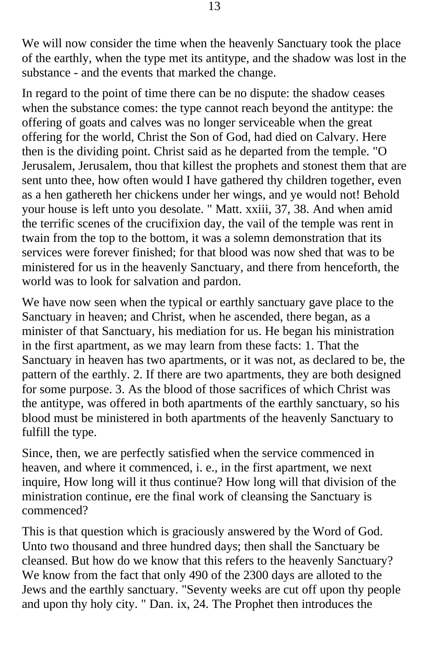We will now consider the time when the heavenly Sanctuary took the place of the earthly, when the type met its antitype, and the shadow was lost in the substance - and the events that marked the change.

In regard to the point of time there can be no dispute: the shadow ceases when the substance comes: the type cannot reach beyond the antitype: the offering of goats and calves was no longer serviceable when the great offering for the world, Christ the Son of God, had died on Calvary. Here then is the dividing point. Christ said as he departed from the temple. "O Jerusalem, Jerusalem, thou that killest the prophets and stonest them that are sent unto thee, how often would I have gathered thy children together, even as a hen gathereth her chickens under her wings, and ye would not! Behold your house is left unto you desolate. " Matt. xxiii, 37, 38. And when amid the terrific scenes of the crucifixion day, the vail of the temple was rent in twain from the top to the bottom, it was a solemn demonstration that its services were forever finished; for that blood was now shed that was to be ministered for us in the heavenly Sanctuary, and there from henceforth, the world was to look for salvation and pardon.

We have now seen when the typical or earthly sanctuary gave place to the Sanctuary in heaven; and Christ, when he ascended, there began, as a minister of that Sanctuary, his mediation for us. He began his ministration in the first apartment, as we may learn from these facts: 1. That the Sanctuary in heaven has two apartments, or it was not, as declared to be, the pattern of the earthly. 2. If there are two apartments, they are both designed for some purpose. 3. As the blood of those sacrifices of which Christ was the antitype, was offered in both apartments of the earthly sanctuary, so his blood must be ministered in both apartments of the heavenly Sanctuary to fulfill the type.

Since, then, we are perfectly satisfied when the service commenced in heaven, and where it commenced, i. e., in the first apartment, we next inquire, How long will it thus continue? How long will that division of the ministration continue, ere the final work of cleansing the Sanctuary is commenced?

This is that question which is graciously answered by the Word of God. Unto two thousand and three hundred days; then shall the Sanctuary be cleansed. But how do we know that this refers to the heavenly Sanctuary? We know from the fact that only 490 of the 2300 days are alloted to the Jews and the earthly sanctuary. "Seventy weeks are cut off upon thy people and upon thy holy city. " Dan. ix, 24. The Prophet then introduces the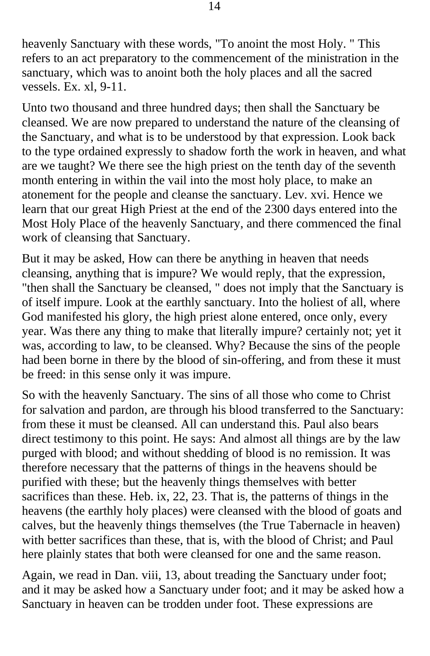heavenly Sanctuary with these words, "To anoint the most Holy. " This refers to an act preparatory to the commencement of the ministration in the sanctuary, which was to anoint both the holy places and all the sacred vessels. Ex. xl, 9-11.

Unto two thousand and three hundred days; then shall the Sanctuary be cleansed. We are now prepared to understand the nature of the cleansing of the Sanctuary, and what is to be understood by that expression. Look back to the type ordained expressly to shadow forth the work in heaven, and what are we taught? We there see the high priest on the tenth day of the seventh month entering in within the vail into the most holy place, to make an atonement for the people and cleanse the sanctuary. Lev. xvi. Hence we learn that our great High Priest at the end of the 2300 days entered into the Most Holy Place of the heavenly Sanctuary, and there commenced the final work of cleansing that Sanctuary.

But it may be asked, How can there be anything in heaven that needs cleansing, anything that is impure? We would reply, that the expression, "then shall the Sanctuary be cleansed, " does not imply that the Sanctuary is of itself impure. Look at the earthly sanctuary. Into the holiest of all, where God manifested his glory, the high priest alone entered, once only, every year. Was there any thing to make that literally impure? certainly not; yet it was, according to law, to be cleansed. Why? Because the sins of the people had been borne in there by the blood of sin-offering, and from these it must be freed: in this sense only it was impure.

So with the heavenly Sanctuary. The sins of all those who come to Christ for salvation and pardon, are through his blood transferred to the Sanctuary: from these it must be cleansed. All can understand this. Paul also bears direct testimony to this point. He says: And almost all things are by the law purged with blood; and without shedding of blood is no remission. It was therefore necessary that the patterns of things in the heavens should be purified with these; but the heavenly things themselves with better sacrifices than these. Heb. ix, 22, 23. That is, the patterns of things in the heavens (the earthly holy places) were cleansed with the blood of goats and calves, but the heavenly things themselves (the True Tabernacle in heaven) with better sacrifices than these, that is, with the blood of Christ; and Paul here plainly states that both were cleansed for one and the same reason.

Again, we read in Dan. viii, 13, about treading the Sanctuary under foot; and it may be asked how a Sanctuary under foot; and it may be asked how a Sanctuary in heaven can be trodden under foot. These expressions are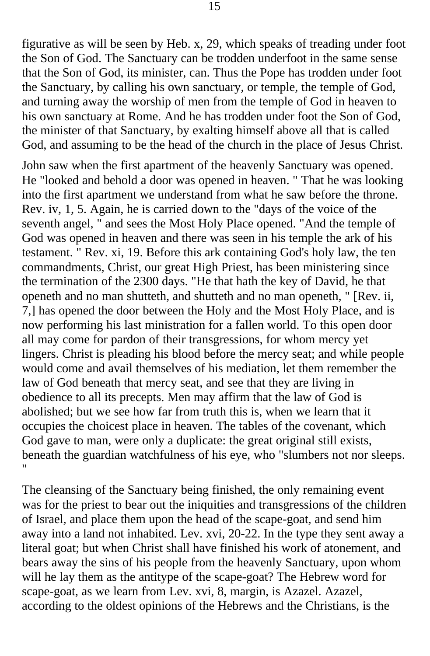figurative as will be seen by Heb. x, 29, which speaks of treading under foot the Son of God. The Sanctuary can be trodden underfoot in the same sense that the Son of God, its minister, can. Thus the Pope has trodden under foot the Sanctuary, by calling his own sanctuary, or temple, the temple of God, and turning away the worship of men from the temple of God in heaven to his own sanctuary at Rome. And he has trodden under foot the Son of God, the minister of that Sanctuary, by exalting himself above all that is called God, and assuming to be the head of the church in the place of Jesus Christ.

John saw when the first apartment of the heavenly Sanctuary was opened. He "looked and behold a door was opened in heaven. " That he was looking into the first apartment we understand from what he saw before the throne. Rev. iv, 1, 5. Again, he is carried down to the "days of the voice of the seventh angel, " and sees the Most Holy Place opened. "And the temple of God was opened in heaven and there was seen in his temple the ark of his testament. " Rev. xi, 19. Before this ark containing God's holy law, the ten commandments, Christ, our great High Priest, has been ministering since the termination of the 2300 days. "He that hath the key of David, he that openeth and no man shutteth, and shutteth and no man openeth, " [Rev. ii, 7,] has opened the door between the Holy and the Most Holy Place, and is now performing his last ministration for a fallen world. To this open door all may come for pardon of their transgressions, for whom mercy yet lingers. Christ is pleading his blood before the mercy seat; and while people would come and avail themselves of his mediation, let them remember the law of God beneath that mercy seat, and see that they are living in obedience to all its precepts. Men may affirm that the law of God is abolished; but we see how far from truth this is, when we learn that it occupies the choicest place in heaven. The tables of the covenant, which God gave to man, were only a duplicate: the great original still exists, beneath the guardian watchfulness of his eye, who "slumbers not nor sleeps. "

The cleansing of the Sanctuary being finished, the only remaining event was for the priest to bear out the iniquities and transgressions of the children of Israel, and place them upon the head of the scape-goat, and send him away into a land not inhabited. Lev. xvi, 20-22. In the type they sent away a literal goat; but when Christ shall have finished his work of atonement, and bears away the sins of his people from the heavenly Sanctuary, upon whom will he lay them as the antitype of the scape-goat? The Hebrew word for scape-goat, as we learn from Lev. xvi, 8, margin, is Azazel. Azazel, according to the oldest opinions of the Hebrews and the Christians, is the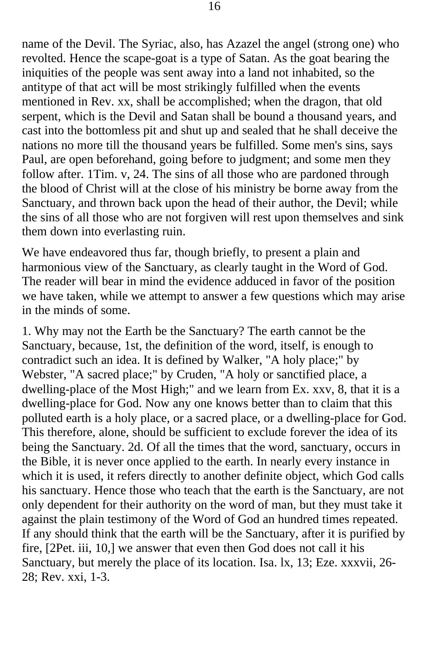name of the Devil. The Syriac, also, has Azazel the angel (strong one) who revolted. Hence the scape-goat is a type of Satan. As the goat bearing the iniquities of the people was sent away into a land not inhabited, so the antitype of that act will be most strikingly fulfilled when the events mentioned in Rev. xx, shall be accomplished; when the dragon, that old serpent, which is the Devil and Satan shall be bound a thousand years, and cast into the bottomless pit and shut up and sealed that he shall deceive the nations no more till the thousand years be fulfilled. Some men's sins, says Paul, are open beforehand, going before to judgment; and some men they follow after. 1Tim. v, 24. The sins of all those who are pardoned through the blood of Christ will at the close of his ministry be borne away from the Sanctuary, and thrown back upon the head of their author, the Devil; while the sins of all those who are not forgiven will rest upon themselves and sink them down into everlasting ruin.

We have endeavored thus far, though briefly, to present a plain and harmonious view of the Sanctuary, as clearly taught in the Word of God. The reader will bear in mind the evidence adduced in favor of the position we have taken, while we attempt to answer a few questions which may arise in the minds of some.

1. Why may not the Earth be the Sanctuary? The earth cannot be the Sanctuary, because, 1st, the definition of the word, itself, is enough to contradict such an idea. It is defined by Walker, "A holy place;" by Webster, "A sacred place;" by Cruden, "A holy or sanctified place, a dwelling-place of the Most High;" and we learn from Ex. xxv, 8, that it is a dwelling-place for God. Now any one knows better than to claim that this polluted earth is a holy place, or a sacred place, or a dwelling-place for God. This therefore, alone, should be sufficient to exclude forever the idea of its being the Sanctuary. 2d. Of all the times that the word, sanctuary, occurs in the Bible, it is never once applied to the earth. In nearly every instance in which it is used, it refers directly to another definite object, which God calls his sanctuary. Hence those who teach that the earth is the Sanctuary, are not only dependent for their authority on the word of man, but they must take it against the plain testimony of the Word of God an hundred times repeated. If any should think that the earth will be the Sanctuary, after it is purified by fire, [2Pet. iii, 10,] we answer that even then God does not call it his Sanctuary, but merely the place of its location. Isa. lx, 13; Eze. xxxvii, 26 28; Rev. xxi, 1-3.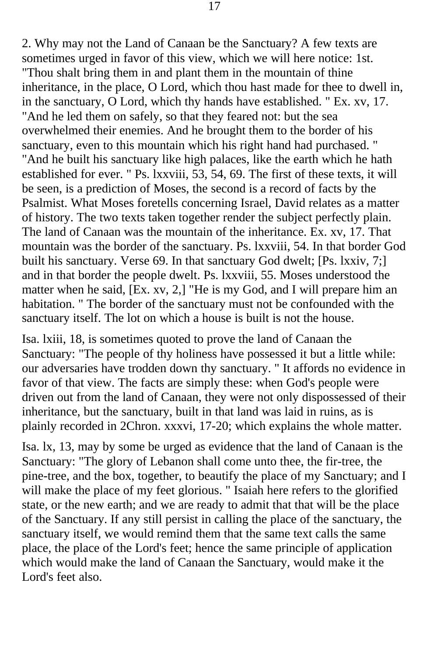2. Why may not the Land of Canaan be the Sanctuary? A few texts are sometimes urged in favor of this view, which we will here notice: 1st. "Thou shalt bring them in and plant them in the mountain of thine inheritance, in the place, O Lord, which thou hast made for thee to dwell in, in the sanctuary, O Lord, which thy hands have established. " Ex. xv, 17. "And he led them on safely, so that they feared not: but the sea overwhelmed their enemies. And he brought them to the border of his sanctuary, even to this mountain which his right hand had purchased. " "And he built his sanctuary like high palaces, like the earth which he hath established for ever. " Ps. lxxviii, 53, 54, 69. The first of these texts, it will be seen, is a prediction of Moses, the second is a record of facts by the Psalmist. What Moses foretells concerning Israel, David relates as a matter of history. The two texts taken together render the subject perfectly plain. The land of Canaan was the mountain of the inheritance. Ex. xv, 17. That mountain was the border of the sanctuary. Ps. lxxviii, 54. In that border God built his sanctuary. Verse 69. In that sanctuary God dwelt; [Ps. lxxiv, 7;] and in that border the people dwelt. Ps. lxxviii, 55. Moses understood the matter when he said, [Ex. xv, 2,] "He is my God, and I will prepare him an habitation. " The border of the sanctuary must not be confounded with the sanctuary itself. The lot on which a house is built is not the house.

Isa. lxiii, 18, is sometimes quoted to prove the land of Canaan the Sanctuary: "The people of thy holiness have possessed it but a little while: our adversaries have trodden down thy sanctuary. " It affords no evidence in favor of that view. The facts are simply these: when God's people were driven out from the land of Canaan, they were not only dispossessed of their inheritance, but the sanctuary, built in that land was laid in ruins, as is plainly recorded in 2Chron. xxxvi, 17-20; which explains the whole matter.

Isa. lx, 13, may by some be urged as evidence that the land of Canaan is the Sanctuary: "The glory of Lebanon shall come unto thee, the fir-tree, the pine-tree, and the box, together, to beautify the place of my Sanctuary; and I will make the place of my feet glorious. " Isaiah here refers to the glorified state, or the new earth; and we are ready to admit that that will be the place of the Sanctuary. If any still persist in calling the place of the sanctuary, the sanctuary itself, we would remind them that the same text calls the same place, the place of the Lord's feet; hence the same principle of application which would make the land of Canaan the Sanctuary, would make it the Lord's feet also.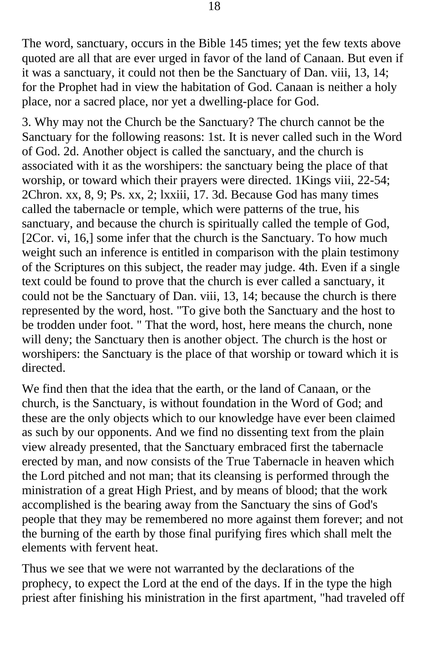The word, sanctuary, occurs in the Bible 145 times; yet the few texts above quoted are all that are ever urged in favor of the land of Canaan. But even if it was a sanctuary, it could not then be the Sanctuary of Dan. viii, 13, 14; for the Prophet had in view the habitation of God. Canaan is neither a holy place, nor a sacred place, nor yet a dwelling-place for God.

3. Why may not the Church be the Sanctuary? The church cannot be the Sanctuary for the following reasons: 1st. It is never called such in the Word of God. 2d. Another object is called the sanctuary, and the church is associated with it as the worshipers: the sanctuary being the place of that worship, or toward which their prayers were directed. 1Kings viii, 22-54; 2Chron. xx, 8, 9; Ps. xx, 2; lxxiii, 17. 3d. Because God has many times called the tabernacle or temple, which were patterns of the true, his sanctuary, and because the church is spiritually called the temple of God, [2Cor. vi, 16,] some infer that the church is the Sanctuary. To how much weight such an inference is entitled in comparison with the plain testimony of the Scriptures on this subject, the reader may judge. 4th. Even if a single text could be found to prove that the church is ever called a sanctuary, it could not be the Sanctuary of Dan. viii, 13, 14; because the church is there represented by the word, host. "To give both the Sanctuary and the host to be trodden under foot. " That the word, host, here means the church, none will deny; the Sanctuary then is another object. The church is the host or worshipers: the Sanctuary is the place of that worship or toward which it is directed.

We find then that the idea that the earth, or the land of Canaan, or the church, is the Sanctuary, is without foundation in the Word of God; and these are the only objects which to our knowledge have ever been claimed as such by our opponents. And we find no dissenting text from the plain view already presented, that the Sanctuary embraced first the tabernacle erected by man, and now consists of the True Tabernacle in heaven which the Lord pitched and not man; that its cleansing is performed through the ministration of a great High Priest, and by means of blood; that the work accomplished is the bearing away from the Sanctuary the sins of God's people that they may be remembered no more against them forever; and not the burning of the earth by those final purifying fires which shall melt the elements with fervent heat.

Thus we see that we were not warranted by the declarations of the prophecy, to expect the Lord at the end of the days. If in the type the high priest after finishing his ministration in the first apartment, "had traveled off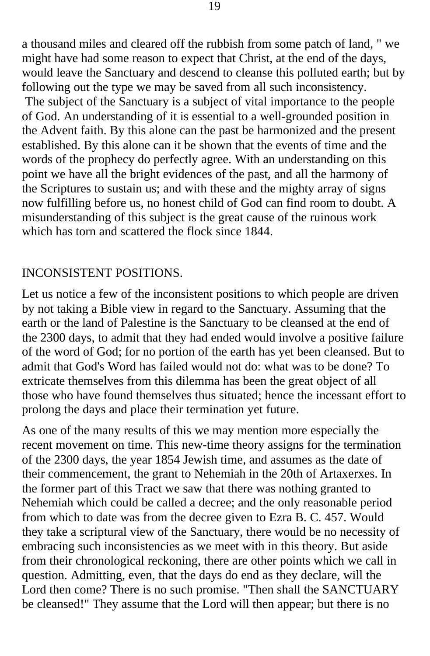a thousand miles and cleared off the rubbish from some patch of land, " we might have had some reason to expect that Christ, at the end of the days, would leave the Sanctuary and descend to cleanse this polluted earth; but by following out the type we may be saved from all such inconsistency.

 The subject of the Sanctuary is a subject of vital importance to the people of God. An understanding of it is essential to a well-grounded position in the Advent faith. By this alone can the past be harmonized and the present established. By this alone can it be shown that the events of time and the words of the prophecy do perfectly agree. With an understanding on this point we have all the bright evidences of the past, and all the harmony of the Scriptures to sustain us; and with these and the mighty array of signs now fulfilling before us, no honest child of God can find room to doubt. A misunderstanding of this subject is the great cause of the ruinous work which has torn and scattered the flock since 1844.

## INCONSISTENT POSITIONS.

Let us notice a few of the inconsistent positions to which people are driven by not taking a Bible view in regard to the Sanctuary. Assuming that the earth or the land of Palestine is the Sanctuary to be cleansed at the end of the 2300 days, to admit that they had ended would involve a positive failure of the word of God; for no portion of the earth has yet been cleansed. But to admit that God's Word has failed would not do: what was to be done? To extricate themselves from this dilemma has been the great object of all those who have found themselves thus situated; hence the incessant effort to prolong the days and place their termination yet future.

As one of the many results of this we may mention more especially the recent movement on time. This new-time theory assigns for the termination of the 2300 days, the year 1854 Jewish time, and assumes as the date of their commencement, the grant to Nehemiah in the 20th of Artaxerxes. In the former part of this Tract we saw that there was nothing granted to Nehemiah which could be called a decree; and the only reasonable period from which to date was from the decree given to Ezra B. C. 457. Would they take a scriptural view of the Sanctuary, there would be no necessity of embracing such inconsistencies as we meet with in this theory. But aside from their chronological reckoning, there are other points which we call in question. Admitting, even, that the days do end as they declare, will the Lord then come? There is no such promise. "Then shall the SANCTUARY be cleansed!" They assume that the Lord will then appear; but there is no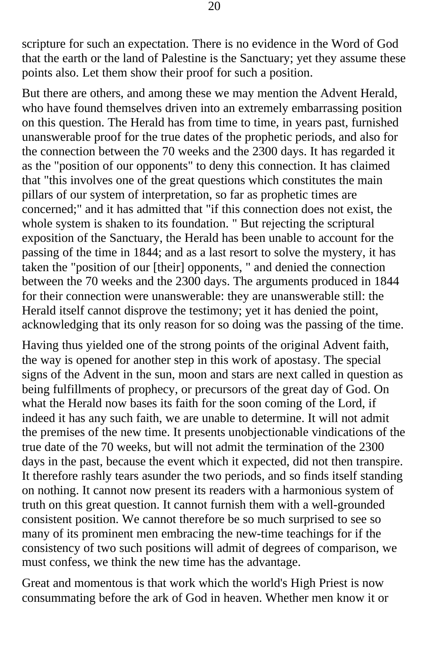scripture for such an expectation. There is no evidence in the Word of God that the earth or the land of Palestine is the Sanctuary; yet they assume these points also. Let them show their proof for such a position.

But there are others, and among these we may mention the Advent Herald, who have found themselves driven into an extremely embarrassing position on this question. The Herald has from time to time, in years past, furnished unanswerable proof for the true dates of the prophetic periods, and also for the connection between the 70 weeks and the 2300 days. It has regarded it as the "position of our opponents" to deny this connection. It has claimed that "this involves one of the great questions which constitutes the main pillars of our system of interpretation, so far as prophetic times are concerned;" and it has admitted that "if this connection does not exist, the whole system is shaken to its foundation. " But rejecting the scriptural exposition of the Sanctuary, the Herald has been unable to account for the passing of the time in 1844; and as a last resort to solve the mystery, it has taken the "position of our [their] opponents, " and denied the connection between the 70 weeks and the 2300 days. The arguments produced in 1844 for their connection were unanswerable: they are unanswerable still: the Herald itself cannot disprove the testimony; yet it has denied the point, acknowledging that its only reason for so doing was the passing of the time.

Having thus yielded one of the strong points of the original Advent faith, the way is opened for another step in this work of apostasy. The special signs of the Advent in the sun, moon and stars are next called in question as being fulfillments of prophecy, or precursors of the great day of God. On what the Herald now bases its faith for the soon coming of the Lord, if indeed it has any such faith, we are unable to determine. It will not admit the premises of the new time. It presents unobjectionable vindications of the true date of the 70 weeks, but will not admit the termination of the 2300 days in the past, because the event which it expected, did not then transpire. It therefore rashly tears asunder the two periods, and so finds itself standing on nothing. It cannot now present its readers with a harmonious system of truth on this great question. It cannot furnish them with a well-grounded consistent position. We cannot therefore be so much surprised to see so many of its prominent men embracing the new-time teachings for if the consistency of two such positions will admit of degrees of comparison, we must confess, we think the new time has the advantage.

Great and momentous is that work which the world's High Priest is now consummating before the ark of God in heaven. Whether men know it or